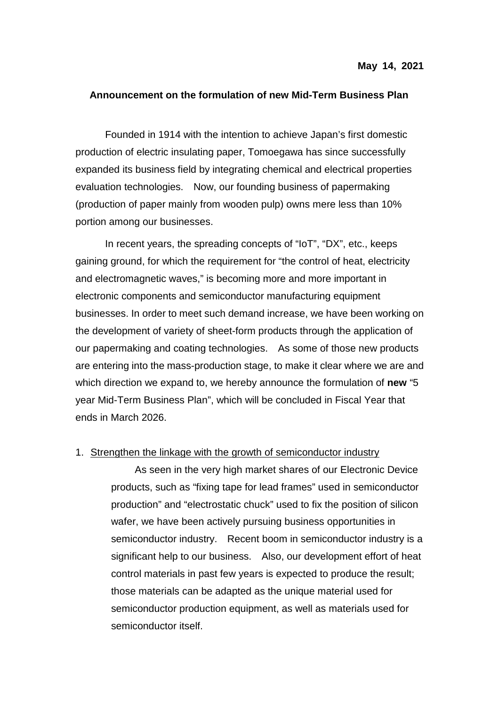## **Announcement on the formulation of new Mid-Term Business Plan**

Founded in 1914 with the intention to achieve Japan's first domestic production of electric insulating paper, Tomoegawa has since successfully expanded its business field by integrating chemical and electrical properties evaluation technologies. Now, our founding business of papermaking (production of paper mainly from wooden pulp) owns mere less than 10% portion among our businesses.

In recent years, the spreading concepts of "IoT", "DX", etc., keeps gaining ground, for which the requirement for "the control of heat, electricity and electromagnetic waves," is becoming more and more important in electronic components and semiconductor manufacturing equipment businesses. In order to meet such demand increase, we have been working on the development of variety of sheet-form products through the application of our papermaking and coating technologies. As some of those new products are entering into the mass-production stage, to make it clear where we are and which direction we expand to, we hereby announce the formulation of **new** "5 year Mid-Term Business Plan", which will be concluded in Fiscal Year that ends in March 2026.

## 1. Strengthen the linkage with the growth of semiconductor industry

As seen in the very high market shares of our Electronic Device products, such as "fixing tape for lead frames" used in semiconductor production" and "electrostatic chuck" used to fix the position of silicon wafer, we have been actively pursuing business opportunities in semiconductor industry. Recent boom in semiconductor industry is a significant help to our business. Also, our development effort of heat control materials in past few years is expected to produce the result; those materials can be adapted as the unique material used for semiconductor production equipment, as well as materials used for semiconductor itself.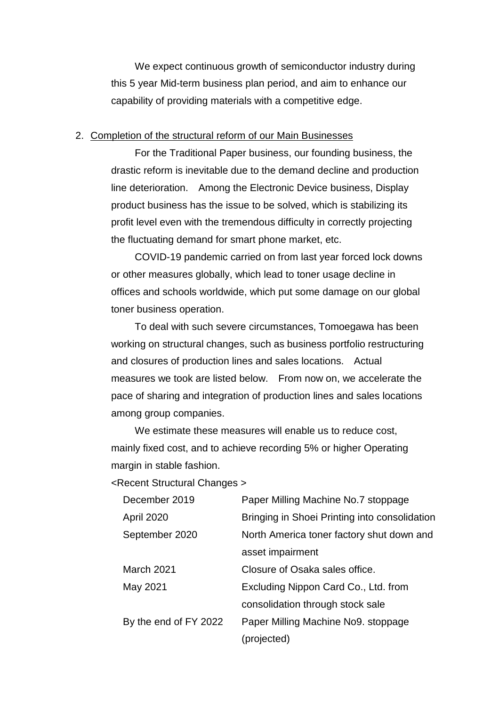We expect continuous growth of semiconductor industry during this 5 year Mid-term business plan period, and aim to enhance our capability of providing materials with a competitive edge.

## 2. Completion of the structural reform of our Main Businesses

For the Traditional Paper business, our founding business, the drastic reform is inevitable due to the demand decline and production line deterioration. Among the Electronic Device business, Display product business has the issue to be solved, which is stabilizing its profit level even with the tremendous difficulty in correctly projecting the fluctuating demand for smart phone market, etc.

COVID-19 pandemic carried on from last year forced lock downs or other measures globally, which lead to toner usage decline in offices and schools worldwide, which put some damage on our global toner business operation.

To deal with such severe circumstances, Tomoegawa has been working on structural changes, such as business portfolio restructuring and closures of production lines and sales locations. Actual measures we took are listed below. From now on, we accelerate the pace of sharing and integration of production lines and sales locations among group companies.

We estimate these measures will enable us to reduce cost, mainly fixed cost, and to achieve recording 5% or higher Operating margin in stable fashion.

<Recent Structural Changes >

| December 2019         | Paper Milling Machine No.7 stoppage           |
|-----------------------|-----------------------------------------------|
| <b>April 2020</b>     | Bringing in Shoei Printing into consolidation |
| September 2020        | North America toner factory shut down and     |
|                       | asset impairment                              |
| March 2021            | Closure of Osaka sales office.                |
| May 2021              | Excluding Nippon Card Co., Ltd. from          |
|                       | consolidation through stock sale              |
| By the end of FY 2022 | Paper Milling Machine No9. stoppage           |
|                       | (projected)                                   |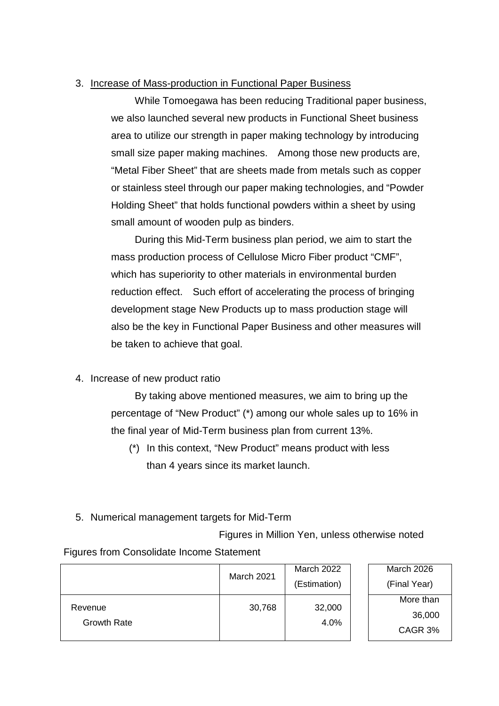## 3. Increase of Mass-production in Functional Paper Business

While Tomoegawa has been reducing Traditional paper business, we also launched several new products in Functional Sheet business area to utilize our strength in paper making technology by introducing small size paper making machines. Among those new products are, "Metal Fiber Sheet" that are sheets made from metals such as copper or stainless steel through our paper making technologies, and "Powder Holding Sheet" that holds functional powders within a sheet by using small amount of wooden pulp as binders.

During this Mid-Term business plan period, we aim to start the mass production process of Cellulose Micro Fiber product "CMF", which has superiority to other materials in environmental burden reduction effect. Such effort of accelerating the process of bringing development stage New Products up to mass production stage will also be the key in Functional Paper Business and other measures will be taken to achieve that goal.

4. Increase of new product ratio

By taking above mentioned measures, we aim to bring up the percentage of "New Product" (\*) among our whole sales up to 16% in the final year of Mid-Term business plan from current 13%.

- (\*) In this context, "New Product" means product with less than 4 years since its market launch.
- 5. Numerical management targets for Mid-Term

Figures in Million Yen, unless otherwise noted

Figures from Consolidate Income Statement

|                               | <b>March 2021</b> | March 2022     | March 2026   |
|-------------------------------|-------------------|----------------|--------------|
|                               |                   | (Estimation)   | (Final Year) |
| Revenue<br><b>Growth Rate</b> | 30,768            | 32,000<br>4.0% | More than    |
|                               |                   |                | 36,000       |
|                               |                   |                | CAGR 3%      |